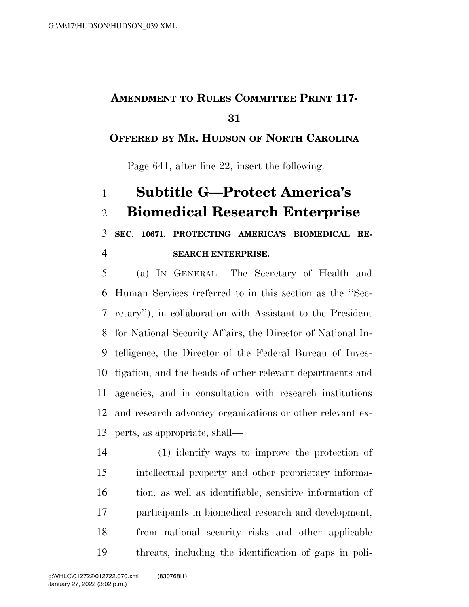## **AMENDMENT TO RULES COMMITTEE PRINT 117-**

## **OFFERED BY MR. HUDSON OF NORTH CAROLINA**

Page 641, after line 22, insert the following:

## **Subtitle G—Protect America's Biomedical Research Enterprise**

**SEC. 10671. PROTECTING AMERICA'S BIOMEDICAL RE-**

**SEARCH ENTERPRISE.** 

 (a) IN GENERAL.—The Secretary of Health and Human Services (referred to in this section as the ''Sec- retary''), in collaboration with Assistant to the President for National Security Affairs, the Director of National In- telligence, the Director of the Federal Bureau of Inves- tigation, and the heads of other relevant departments and agencies, and in consultation with research institutions and research advocacy organizations or other relevant ex-perts, as appropriate, shall—

 (1) identify ways to improve the protection of intellectual property and other proprietary informa- tion, as well as identifiable, sensitive information of participants in biomedical research and development, from national security risks and other applicable threats, including the identification of gaps in poli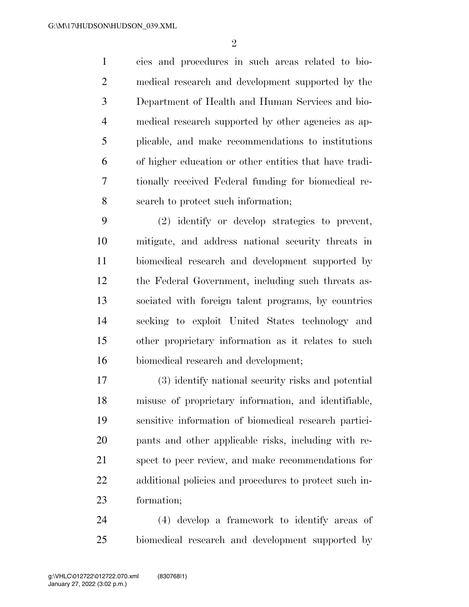cies and procedures in such areas related to bio- medical research and development supported by the Department of Health and Human Services and bio- medical research supported by other agencies as ap- plicable, and make recommendations to institutions of higher education or other entities that have tradi- tionally received Federal funding for biomedical re-search to protect such information;

 (2) identify or develop strategies to prevent, mitigate, and address national security threats in biomedical research and development supported by the Federal Government, including such threats as- sociated with foreign talent programs, by countries seeking to exploit United States technology and other proprietary information as it relates to such biomedical research and development;

 (3) identify national security risks and potential misuse of proprietary information, and identifiable, sensitive information of biomedical research partici- pants and other applicable risks, including with re- spect to peer review, and make recommendations for additional policies and procedures to protect such in-formation;

 (4) develop a framework to identify areas of biomedical research and development supported by